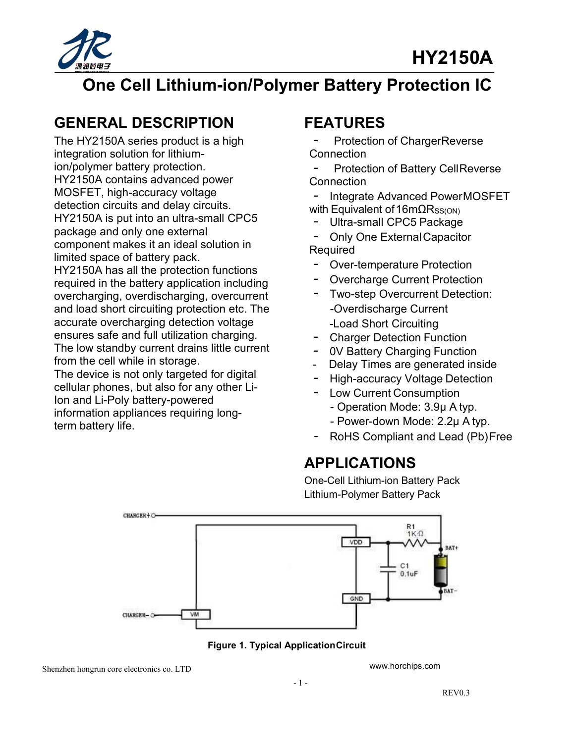

## **One Cell Lithium-ion/Polymer Battery Protection IC**

## **GENERAL DESCRIPTION**

The HY2150A series product is a high integration solution for lithiumion/polymer battery protection. HY2150A contains advanced power MOSFET, high-accuracy voltage detection circuits and delay circuits. HY2150A is put into an ultra-small CPC5 <br>
Ultra-small CPC5 Package package and only one external component makes it an ideal solution in limited space of battery pack. HY2150A has all the protection functions required in the battery application including overcharging, overdischarging, overcurrent and load short circuiting protection etc. The accurate overcharging detection voltage ensures safe and full utilization charging. The low standby current drains little current from the cell while in storage. The device is not only targeted for digital cellular phones, but also for any other Li-Lendral priories, but also for any other Li-<br>Ion and Li-Poly battery-powered

information appliances requiring long-<br>term battery life<br>from battery life term battery life.

## **FEATURES**

Protection of ChargerReverse **Connection** 

Protection of Battery CellReverse **Connection** 

Integrate Advanced PowerMOSFET

with Equivalent of 16mΩRss(on)<br>- Ultra-small CPC5 Package<br>- Only One External Capacity

· Only One ExternalCapacitor Required

- Over-temperature Protection
- Overcharge Current Protection
- Two-step Overcurrent Detection: -Load Short Circuiting
- **Charger Detection Function**
- 0V Battery Charging Function
- 
- Delay Times are generated inside<br>- High-accuracy Voltage Detection **High-accuracy Voltage Detection**
- - Operation Mode: 3.9μ A typ.
	-
- $R$ oHS Compliant and Lead (Pb)Free

## **APPLICATIONS**

One-Cell Lithium-ion Battery Pack Lithium-Polymer Battery Pack





Shenzhen hongrun core electronics co. LTD

[www.horchips.com](http://www.horchips.com/)<br>- 1 -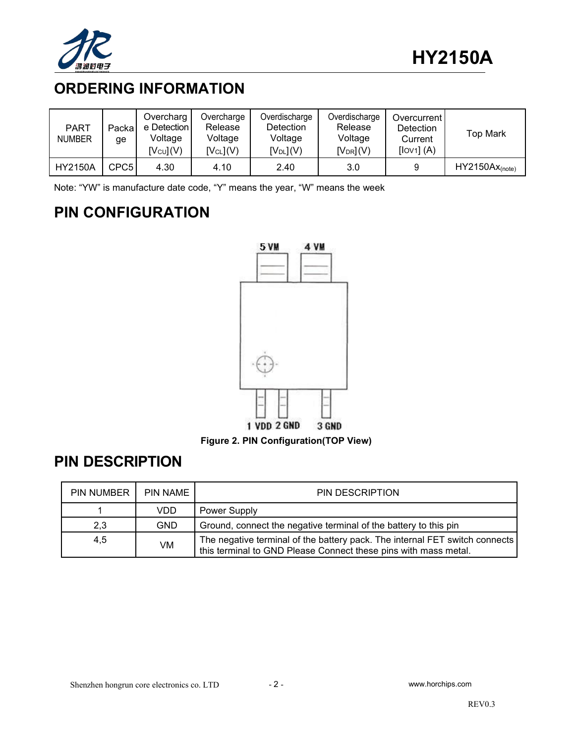

## **ORDERING INFORMATION**

| <b>PART</b><br><b>NUMBER</b> | Packal<br>qe | Overcharg<br>e Detection I<br>Voltage<br>$[V_{\text{CU}}](V)$ | Overcharge<br>Release<br>Voltage<br>$[V_{CL}](V)$ | Overdischarge<br><b>Detection</b><br>Voltage<br>$[V_{DL}](V)$ | Overdischarge<br>Release<br>Voltage<br>$[V_{DR}](V)$ | Overcurrent<br>Detection<br>Current<br>[IOV1] (A) | Top Mark          |
|------------------------------|--------------|---------------------------------------------------------------|---------------------------------------------------|---------------------------------------------------------------|------------------------------------------------------|---------------------------------------------------|-------------------|
| <b>HY2150A</b>               | CPC5         | 4.30                                                          | 4.10                                              | 2.40                                                          | 3.0                                                  |                                                   | $HY2150Ax(note)}$ |

Note: "YW" is manufacture date code, "Y" means the year, "W" means the week

## **PIN CONFIGURATION**



**Figure 2. PIN Configuration(TOP View)**

## **PIN DESCRIPTION**

| PIN NUMBER | <b>PIN NAME</b> | PIN DESCRIPTION                                                                                                                                  |
|------------|-----------------|--------------------------------------------------------------------------------------------------------------------------------------------------|
|            | VDD             | Power Supply                                                                                                                                     |
| 2,3        | <b>GND</b>      | Ground, connect the negative terminal of the battery to this pin                                                                                 |
| 4,5        | VM              | The negative terminal of the battery pack. The internal FET switch connects  <br>this terminal to GND Please Connect these pins with mass metal. |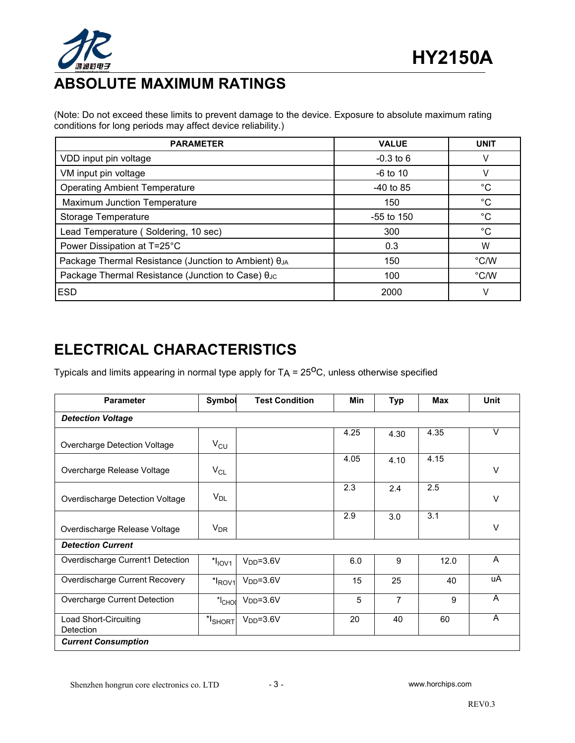

## **ABSOLUTE MAXIMUM RATINGS**

(Note: Do not exceed these limits to prevent damage to the device. Exposure to absolute maximum rating conditions for long periods may affect device reliability.)

| <b>PARAMETER</b>                                                   | <b>VALUE</b> | <b>UNIT</b>   |
|--------------------------------------------------------------------|--------------|---------------|
| VDD input pin voltage                                              | $-0.3$ to 6  |               |
| VM input pin voltage                                               | $-6$ to 10   |               |
| <b>Operating Ambient Temperature</b>                               | $-40$ to 85  | $^{\circ}C$   |
| Maximum Junction Temperature                                       | 150          | $^{\circ}C$   |
| Storage Temperature                                                | $-55$ to 150 | $^{\circ}C$   |
| Lead Temperature (Soldering, 10 sec)                               | 300          | $^{\circ}C$   |
| Power Dissipation at T=25°C                                        | 0.3          | W             |
| Package Thermal Resistance (Junction to Ambient) $\theta_{JA}$     | 150          | $\degree$ C/W |
| Package Thermal Resistance (Junction to Case) $\theta_{\text{JC}}$ | 100          | $\degree$ C/W |
| <b>IESD</b>                                                        | 2000         |               |

## **ELECTRICAL CHARACTERISTICS**

Typicals and limits appearing in normal type apply for TA = 25<sup>0</sup>C, unless otherwise specified

| <b>Parameter</b>                                 | Symbol     | <b>Test Condition</b> | <b>Min</b> | <b>Typ</b>     | <b>Max</b> | <b>Unit</b> |
|--------------------------------------------------|------------|-----------------------|------------|----------------|------------|-------------|
| <b>Detection Voltage</b>                         |            |                       |            |                |            |             |
| Overcharge Detection Voltage                     | $V_{CU}$   |                       | 4.25       | 4.30           | 4.35       | $\vee$      |
| Overcharge Release Voltage                       | $V_{CL}$   |                       | 4.05       | 4.10           | 4.15       | $\vee$      |
| Overdischarge Detection Voltage                  | $V_{DL}$   |                       | 2.3        | 2.4            | 2.5        | V           |
| Overdischarge Release Voltage                    | $V_{DR}$   |                       | 2.9        | 3.0            | 3.1        | V           |
| <b>Detection Current</b>                         |            |                       |            |                |            |             |
| Overdischarge Current1 Detection                 | $*IIOVI$   | $VDD=3.6V$            | 6.0        | 9              | 12.0       | A           |
| Overdischarge Current Recovery                   | $*ROV1$    | $VDD=3.6V$            | 15         | 25             | 40         | uA          |
| Overcharge Current Detection                     | $*Ch$      | $VDD=3.6V$            | 5          | $\overline{7}$ | 9          | A           |
| <b>Load Short-Circuiting</b><br><b>Detection</b> | $*l$ SHORT | $VDD=3.6V$            | 20         | 40             | 60         | A           |
| <b>Current Consumption</b>                       |            |                       |            |                |            |             |

Shenzhen hongrun core electronics co. LTD - 3 - [www.horchips.com](http://www.horchips.com/)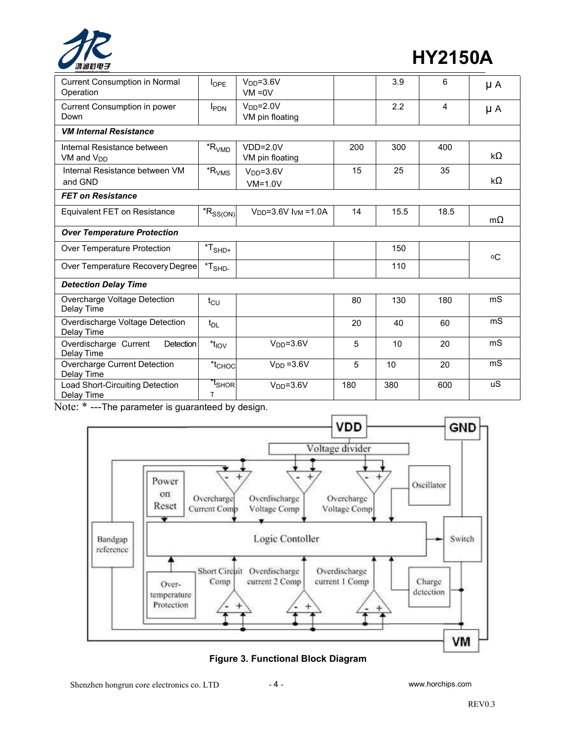

**HY2150A**

| <b>Current Consumption in Normal</b><br>Operation     | $I_{\text{OPE}}$                             | $VDD=3.6V$<br>$VM = 0V$       |     | 3.9  | 6    | μA             |
|-------------------------------------------------------|----------------------------------------------|-------------------------------|-----|------|------|----------------|
| Current Consumption in power<br>Down                  | <b>I</b> PDN                                 | $VDD=2.0V$<br>VM pin floating |     | 2.2  | 4    | $\mu A$        |
| <b>VM Internal Resistance</b>                         |                                              |                               |     |      |      |                |
| Internal Resistance between<br>VM and V <sub>DD</sub> | $R_{VMD}$                                    | $VDD=2.0V$<br>VM pin floating | 200 | 300  | 400  | kΩ             |
| Internal Resistance between VM<br>and GND             | $R_{VMS}$                                    | $VDD=3.6V$<br>$VM=1.0V$       | 15  | 25   | 35   | kΩ             |
| <b>FET on Resistance</b>                              |                                              |                               |     |      |      |                |
| Equivalent FET on Resistance                          | $*R_{SS(ON)}$                                | $VDD=3.6V$ $IVM=1.0A$         | 14  | 15.5 | 18.5 | $m\Omega$      |
| <b>Over Temperature Protection</b>                    |                                              |                               |     |      |      |                |
| Over Temperature Protection                           | ${}^\star\mathsf{T}_{\mathsf{SHD}^+}$        |                               |     | 150  |      | оC             |
| Over Temperature Recovery Degree                      | $^{\star} \mathsf{T}_{\mathsf{SHD}\text{-}}$ |                               |     | 110  |      |                |
| <b>Detection Delay Time</b>                           |                                              |                               |     |      |      |                |
| Overcharge Voltage Detection<br>Delay Time            | $t_{\text{CU}}$                              |                               | 80  | 130  | 180  | mS             |
| Overdischarge Voltage Detection<br>Delay Time         | $t_{DL}$                                     |                               | 20  | 40   | 60   | mS             |
| Overdischarge Current<br>Detection<br>Delay Time      | $*t_{IOV}$                                   | $VDD=3.6V$                    | 5   | 10   | 20   | m <sub>S</sub> |
| Overcharge Current Detection<br>Delay Time            | $*_{\mathsf{CHOC}}$                          | $VDD = 3.6V$                  | 5   | 10   | 20   | m <sub>S</sub> |
| Load Short-Circuiting Detection<br>Delay Time         | <sup>*t</sup> shor<br>T.                     | $VDD=3.6V$                    | 180 | 380  | 600  | uS             |

Note: \* ---The parameter is guaranteed by design.



**Figure 3. Functional Block Diagram**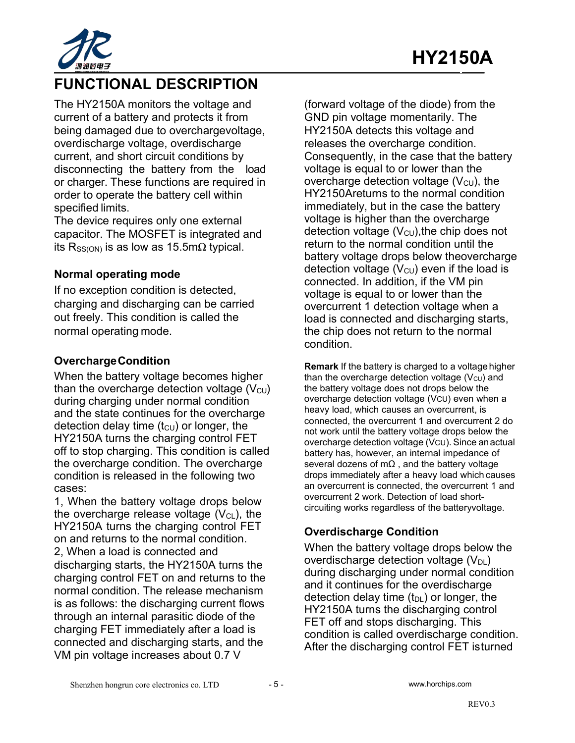

## **FUNCTIONAL DESCRIPTION**

The HY2150A monitors the voltage and current of a battery and protects it from being damaged due to overchargevoltage, overdischarge voltage, overdischarge current, and short circuit conditions by disconnecting the battery from the load or charger. These functions are required in order to operate the battery cell within specified limits.

The device requires only one external capacitor. The MOSFET is integrated and its R<sub>SS(ON)</sub> is as low as 15.5m $\Omega$  typical.

#### **Normal operating mode**

If no exception condition is detected, charging and discharging can be carried out freely. This condition is called the normal operating mode.

#### **OverchargeCondition**

When the battery voltage becomes higher than the overcharge detection voltage  $(V_{\text{CU}})$ during charging under normal condition and the state continues for the overcharge detection delay time  $(t<sub>C</sub>U)$  or longer, the HY2150A turns the charging control FET off to stop charging. This condition is called the overcharge condition. The overcharge condition is released in the following two cases:

1, When the battery voltage drops below the overcharge release voltage  $(V_{CL})$ , the HY2150A turns the charging control FET on and returns to the normal condition. 2, When a load is connected and discharging starts, the HY2150A turns the charging control FET on and returns to the normal condition. The release mechanism is as follows: the discharging current flows through an internal parasitic diode of the charging FET immediately after a load is connected and discharging starts, and the VM pin voltage increases about 0.7 V

(forward voltage of the diode) from the GND pin voltage momentarily. The HY2150A detects this voltage and releases the overcharge condition. Consequently, in the case that the battery voltage is equal to or lower than the overcharge detection voltage  $(V_{\text{CU}})$ , the HY2150Areturns to the normal condition immediately, but in the case the battery voltage is higher than the overcharge detection voltage  $(V<sub>CU</sub>)$ , the chip does not return to the normal condition until the battery voltage drops below theovercharge detection voltage  $(V_{\text{CU}})$  even if the load is connected. In addition, if the VM pin voltage is equal to or lower than the overcurrent 1 detection voltage when a load is connected and discharging starts, the chip does not return to the normal condition.

**Remark** If the battery is charged to a voltage higher than the overcharge detection voltage  $(V<sub>C</sub>U)$  and the battery voltage does not drops below the overcharge detection voltage (VCU) even when a heavy load, which causes an overcurrent, is connected, the overcurrent 1 and overcurrent 2 do not work until the battery voltage drops below the overcharge detection voltage (VCU). Since anactual battery has, however, an internal impedance of several dozens of  $m\Omega$ , and the battery voltage drops immediately after a heavy load which causes an overcurrent is connected, the overcurrent 1 and overcurrent 2 work. Detection of load short circuiting works regardless of the batteryvoltage.

#### **Overdischarge Condition**

When the battery voltage drops below the overdischarge detection voltage  $(V_{DL})$ during discharging under normal condition and it continues for the overdischarge detection delay time  $(t_{DL})$  or longer, the HY2150A turns the discharging control FET off and stops discharging. This condition is called overdischarge condition. After the discharging control FET isturned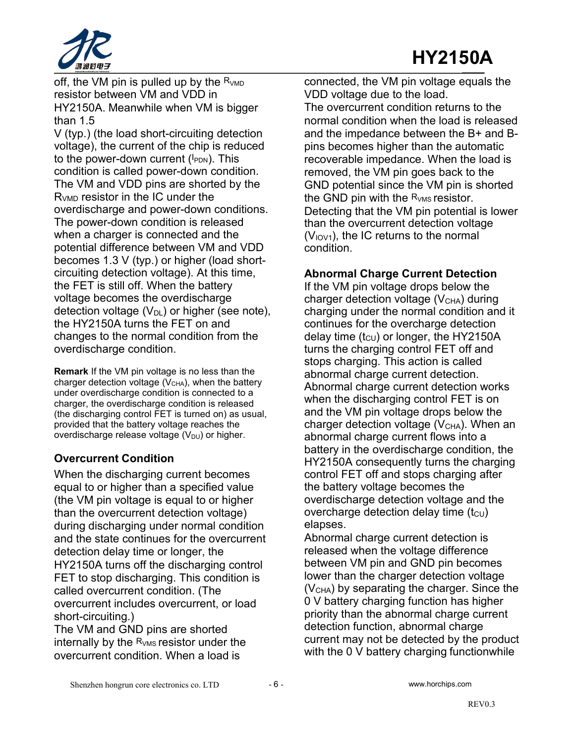

off, the VM pin is pulled up by the  $R_{VMD}$ resistor between VM and VDD in HY2150A. Meanwhile when VM is bigger than 1.5

V (typ.) (the load short-circuiting detection voltage), the current of the chip is reduced to the power-down current (I<sub>PDN</sub>). This **the convert of the propriation** condition is called power-down condition. The VM and VDD pins are shorted by the RVMD resistor in the IC under the overdischarge and power-down conditions. The power-down condition is released when a charger is connected and the potential difference between VM and VDD becomes 1.3 V (typ.) or higher (load short circuiting detection voltage). At this time, the FET is still off. When the battery voltage becomes the overdischarge detection voltage  $(V_{DL})$  or higher (see note), the HY2150A turns the FET on and changes to the normal condition from the overdischarge condition.

**Remark** If the VM pin voltage is no less than the charger detection voltage ( $V<sub>CHA</sub>$ ), when the battery under overdischarge condition is connected to a charger, the overdischarge condition is released (the discharging control FET is turned on) as usual, provided that the battery voltage reaches the overdischarge release voltage  $(V_{DU})$  or higher.

#### **Overcurrent Condition**

When the discharging current becomes equal to or higher than a specified value (the VM pin voltage is equal to or higher than the overcurrent detection voltage) during discharging under normal condition and the state continues for the overcurrent detection delay time or longer, the HY2150A turns off the discharging control FET to stop discharging. This condition is called overcurrent condition. (The overcurrent includes overcurrent, or load short-circuiting.)

The VM and GND pins are shorted internally by the  $R_{VMS}$  resistor under the overcurrent condition. When a load is

connected, the VM pin voltage equals the VDD voltage due to the load. The overcurrent condition returns to the normal condition when the load is released and the impedance between the B+ and B pins becomes higher than the automatic recoverable impedance. When the load is removed, the VM pin goes back to the GND potential since the VM pin is shorted the GND pin with the  $R_{VMS}$  resistor. Detecting that the VM pin potential is lower than the overcurrent detection voltage  $(V<sub>IOV1</sub>)$ , the IC returns to the normal condition.

#### **Abnormal Charge Current Detection**

If the VM pin voltage drops below the charger detection voltage  $(V<sub>CHA</sub>)$  during charging under the normal condition and it continues for the overcharge detection delay time  $(t_{\text{CU}})$  or longer, the HY2150A turns the charging control FET off and stops charging. This action is called abnormal charge current detection. Abnormal charge current detection works when the discharging control FET is on and the VM pin voltage drops below the charger detection voltage  $(V<sub>CHA</sub>)$ . When an abnormal charge current flows into a battery in the overdischarge condition, the HY2150A consequently turns the charging control FET off and stops charging after the battery voltage becomes the overdischarge detection voltage and the overcharge detection delay time  $(t_{\text{CU}})$ elapses.

Abnormal charge current detection is released when the voltage difference between VM pin and GND pin becomes lower than the charger detection voltage (VCHA) by separating the charger. Since the 0 V battery charging function has higher priority than the abnormal charge current detection function, abnormal charge current may not be detected by the product with the 0 V battery charging functionwhile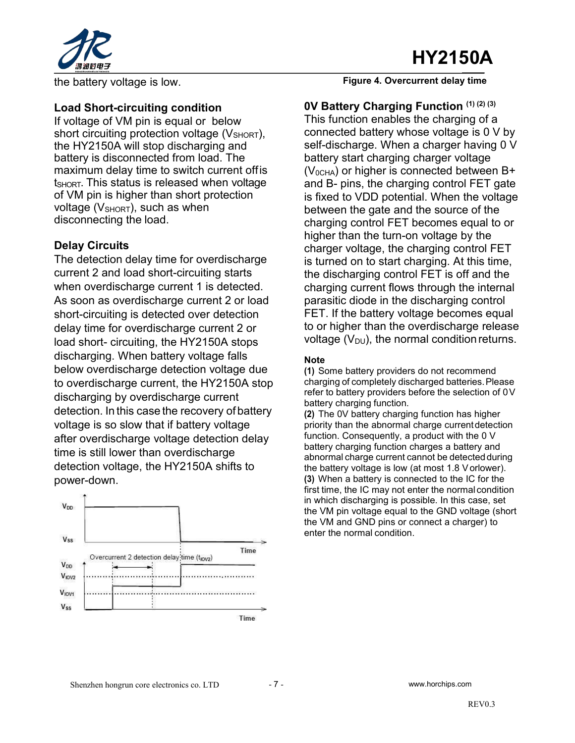# **HY2150A**



the battery voltage is low.

#### **Load Short-circuiting condition**

If voltage of VM pin is equal or below short circuiting protection voltage (VSHORT). the HY2150A will stop discharging and battery is disconnected from load. The maximum delay time to switch current offis  $t_{\text{SHORT}}$ . This status is released when voltage of VM pin is higher than short protection voltage ( $V_{\text{SHORT}}$ ), such as when disconnecting the load.

#### **Delay Circuits**

The detection delay time for overdischarge current 2 and load short-circuiting starts when overdischarge current 1 is detected. As soon as overdischarge current 2 or load short-circuiting is detected over detection delay time for overdischarge current 2 or load short- circuiting, the HY2150A stops discharging. When battery voltage falls below overdischarge detection voltage due to overdischarge current, the HY2150A stop discharging by overdischarge current detection. In this case the recovery of battery voltage is so slow that if battery voltage after overdischarge voltage detection delay time is still lower than overdischarge detection voltage, the HY2150A shifts to power-down.



**Figure 4. Overcurrent delay time**

**0V Battery Charging Function (1) (2) (3)** This function enables the charging of a connected battery whose voltage is 0 V by self-discharge. When a charger having 0 V battery start charging charger voltage  $(V_{0CHA})$  or higher is connected between B+ and B- pins, the charging control FET gate is fixed to VDD potential. When the voltage between the gate and the source of the charging control FET becomes equal to or higher than the turn-on voltage by the charger voltage, the charging control FET is turned on to start charging. At this time, the discharging control FET is off and the charging current flows through the internal parasitic diode in the discharging control FET. If the battery voltage becomes equal to or higher than the overdischarge release voltage  $(V_{DU})$ , the normal condition returns.

#### **Note**

**(1)** Some battery providers do not recommend charging of completely discharged batteries.Please refer to battery providers before the selection of 0V battery charging function.

**(2)** The 0V battery charging function has higher priority than the abnormal charge currentdetection function. Consequently, a product with the 0 V battery charging function charges a battery and abnormal charge current cannot be detected during the battery voltage is low (at most 1.8 V orlower). **(3)** When a battery is connected to the IC for the first time, the IC may not enter the normal condition in which discharging is possible. In this case, set the VM pin voltage equal to the GND voltage (short the VM and GND pins or connect a charger) to enter the normal condition.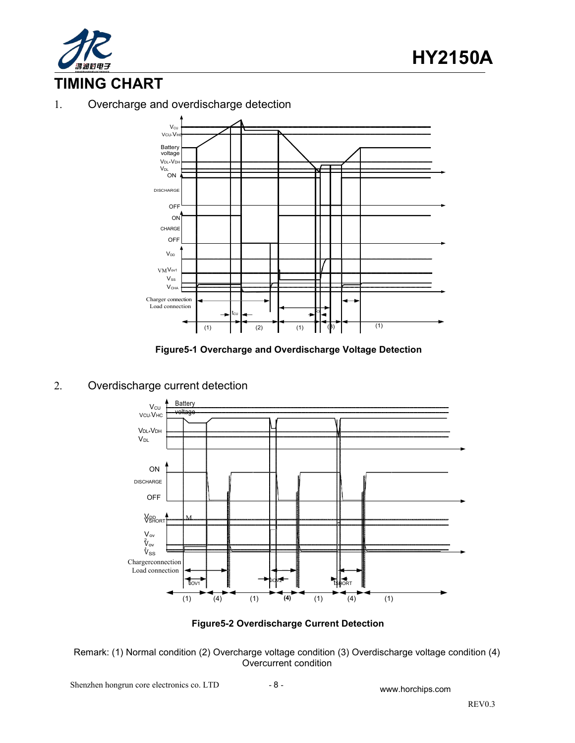

## **TIMING CHART**

#### 1. Overcharge and overdischarge detection



**Figure5-1 Overcharge and Overdischarge Voltage Detection**

#### 2. Overdischarge current detection



**Figure5-2 Overdischarge Current Detection**

Remark: (1) Normal condition (2) Overcharge voltage condition (3) Overdischarge voltage condition (4) Overcurrent condition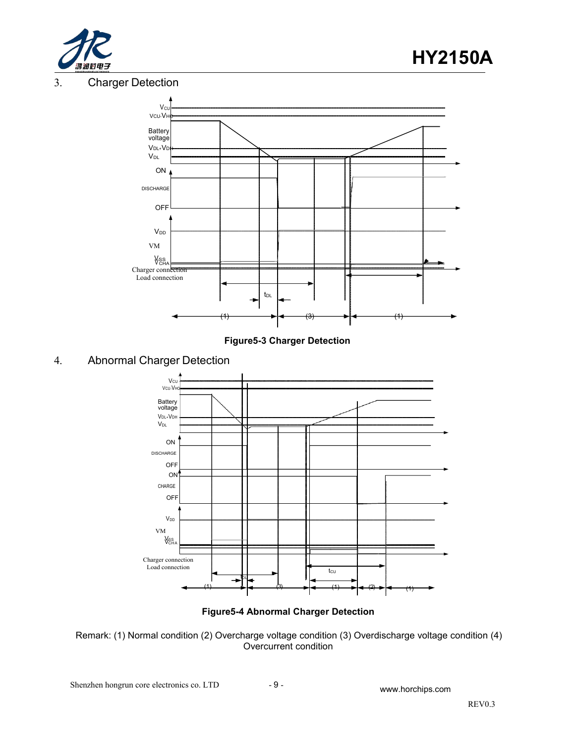

#### 3. Charger Detection



**Figure5-3 Charger Detection**

#### 4. Abnormal Charger Detection





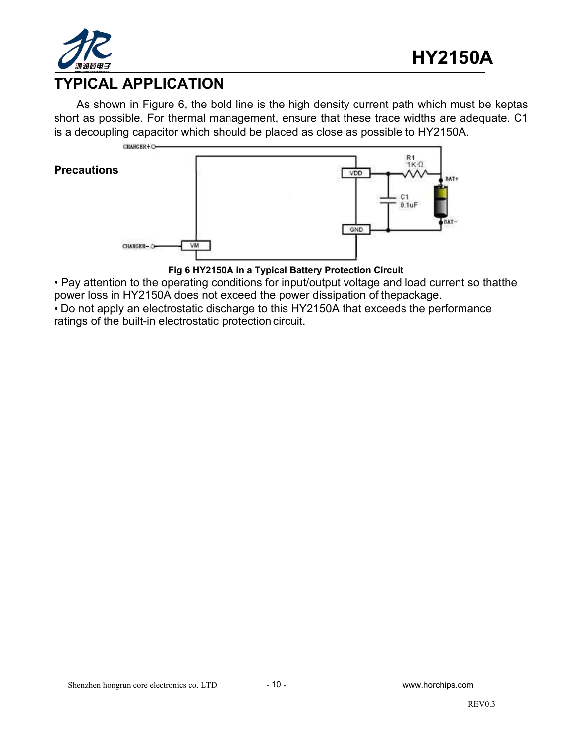

## **TYPICAL APPLICATION**

As shown in Figure 6, the bold line is the high density current path which must be keptas short as possible. For thermal management, ensure that these trace widths are adequate. C1 is a decoupling capacitor which should be placed as close as possible to HY2150A.



**Fig 6 HY2150A in a Typical Battery Protection Circuit**

• Pay attention to the operating conditions for input/output voltage and load current so thatthe power loss in HY2150A does not exceed the power dissipation of thepackage.

• Do not apply an electrostatic discharge to this HY2150A that exceeds the performance ratings of the built-in electrostatic protection circuit.